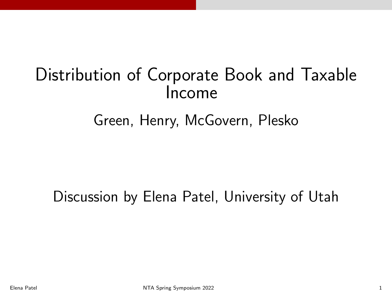# Distribution of Corporate Book and Taxable Income

## Green, Henry, McGovern, Plesko

### Discussion by Elena Patel, University of Utah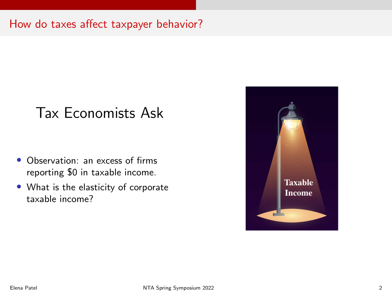#### How do taxes affect taxpayer behavior?

## Tax Economists Ask

- Observation: an excess of firms reporting \$0 in taxable income.
- What is the elasticity of corporate taxable income?

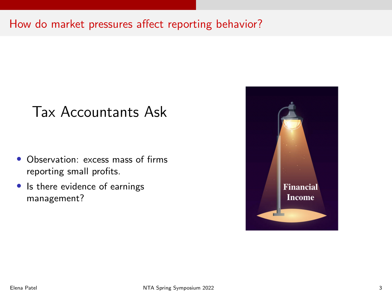How do market pressures affect reporting behavior?

### Tax Accountants Ask

- Observation: excess mass of firms reporting small profits.
- Is there evidence of earnings management?

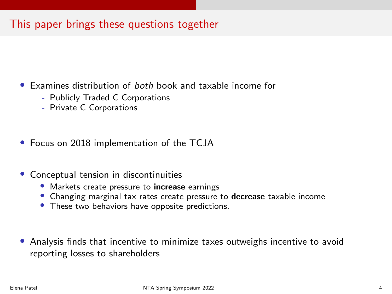#### This paper brings these questions together

- Examines distribution of both book and taxable income for
	- Publicly Traded C Corporations
	- Private C Corporations
- Focus on 2018 implementation of the TCJA
- Conceptual tension in discontinuities
	- Markets create pressure to increase earnings
	- Changing marginal tax rates create pressure to decrease taxable income
	- These two behaviors have opposite predictions.
- Analysis finds that incentive to minimize taxes outweighs incentive to avoid reporting losses to shareholders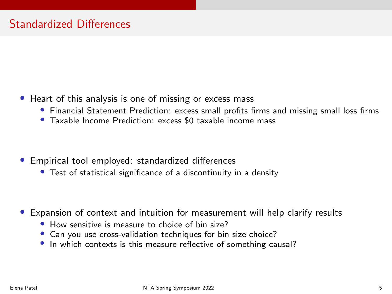- Heart of this analysis is one of missing or excess mass
	- Financial Statement Prediction: excess small profits firms and missing small loss firms
	- Taxable Income Prediction: excess \$0 taxable income mass
- Empirical tool employed: standardized differences
	- Test of statistical significance of a discontinuity in a density
- Expansion of context and intuition for measurement will help clarify results
	- How sensitive is measure to choice of bin size?
	- Can you use cross-validation techniques for bin size choice?
	- In which contexts is this measure reflective of something causal?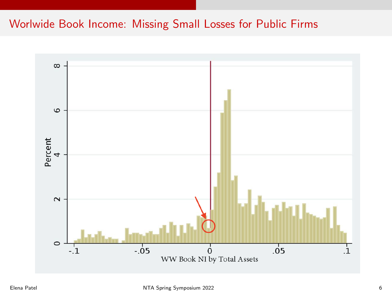#### Worlwide Book Income: Missing Small Losses for Public Firms

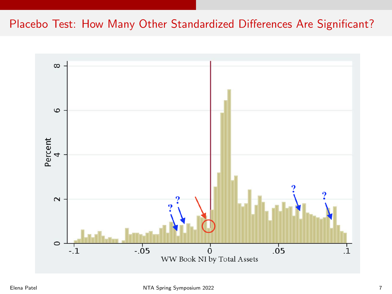#### Placebo Test: How Many Other Standardized Differences Are Significant?

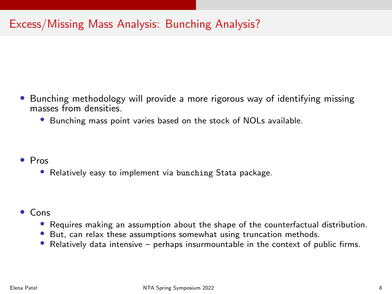#### Excess/Missing Mass Analysis: Bunching Analysis?

- Bunching methodology will provide a more rigorous way of identifying missing masses from densities.
	- Bunching mass point varies based on the stock of NOLs available.

- Pros
	- Relatively easy to implement via bunching Stata package.

- Cons
	- Requires making an assumption about the shape of the counterfactual distribution.
	- But, can relax these assumptions somewhat using truncation methods.
	- Relatively data intensive perhaps insurmountable in the context of public firms.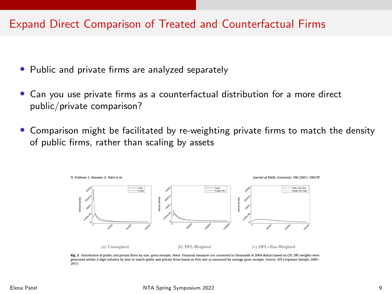#### Expand Direct Comparison of Treated and Counterfactual Firms

- Public and private firms are analyzed separately
- Can you use private firms as a counterfactual distribution for a more direct public/private comparison?
- Comparison might be facilitated by re-weighting private firms to match the density of public firms, rather than scaling by assets



Fig. 3. Distribution of public and private firms by size: gross receipts. Notes: Financial measures are converted to thousands of 2004 dollars based on CPI. DFL weights were generated within 2-digit industry by year to match public and private firms based on firm size as measured by average gross receipts. Source: SOI Corporate Sample, 2005-2015.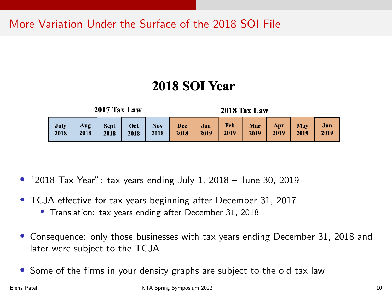More Variation Under the Surface of the 2018 SOI File

### 2018 SOI Year

**2017 Tax Law** 

2018 Tax Law

| July<br>2018 | Aug |  | Sept Oct Nov Dec Jan Feb Mar Apr May<br>2018   2018   2018   2018   2018   2019   2019   2019   2019   2019   2019   2019 |  |  |  |  |  |  |  | Jun |
|--------------|-----|--|---------------------------------------------------------------------------------------------------------------------------|--|--|--|--|--|--|--|-----|
|--------------|-----|--|---------------------------------------------------------------------------------------------------------------------------|--|--|--|--|--|--|--|-----|

- "2018 Tax Year": tax years ending July 1, 2018 June 30, 2019
- TCJA effective for tax years beginning after December 31, 2017
	- Translation: tax years ending after December 31, 2018
- Consequence: only those businesses with tax years ending December 31, 2018 and later were subject to the TCJA
- Some of the firms in your density graphs are subject to the old tax law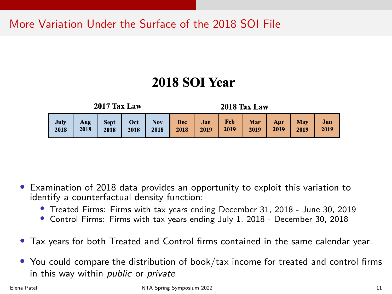More Variation Under the Surface of the 2018 SOI File

### 2018 SOI Year

2017 Tax Law

2018 Tax Law

|  |  |  |  |  |  |  |  | July   Aug   Sept   Oct   Nov   Dec   Jan   Feb   Mar   Apr   May   Jun<br>2018   2018   2018   2018   2018   2018   2019   2019   2019   2019   2019   2019 |  |  |  |
|--|--|--|--|--|--|--|--|--------------------------------------------------------------------------------------------------------------------------------------------------------------|--|--|--|
|--|--|--|--|--|--|--|--|--------------------------------------------------------------------------------------------------------------------------------------------------------------|--|--|--|

- Examination of 2018 data provides an opportunity to exploit this variation to identify a counterfactual density function:
	- Treated Firms: Firms with tax years ending December 31, 2018 June 30, 2019
	- Control Firms: Firms with tax years ending July 1, 2018 December 30, 2018
- Tax years for both Treated and Control firms contained in the same calendar year.
- You could compare the distribution of book/tax income for treated and control firms in this way within public or private

Elena Patel NTA Spring Symposium 2022 11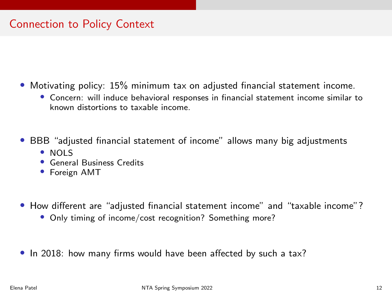#### Connection to Policy Context

- Motivating policy: 15% minimum tax on adjusted financial statement income.
	- Concern: will induce behavioral responses in financial statement income similar to known distortions to taxable income.
- BBB "adjusted financial statement of income" allows many big adjustments
	- NOLS
	- General Business Credits
	- Foreign AMT
- How different are "adjusted financial statement income" and "taxable income"?
	- Only timing of income/cost recognition? Something more?
- In 2018: how many firms would have been affected by such a tax?